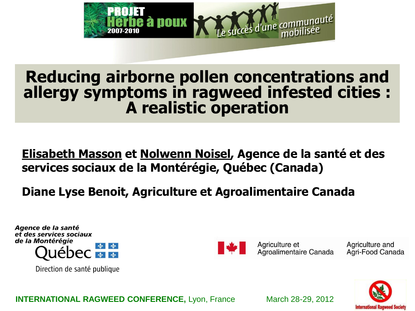

## **Reducing airborne pollen concentrations and allergy symptoms in ragweed infested cities : A realistic operation**

### **Elisabeth Masson et Nolwenn Noisel, Agence de la santé et des services sociaux de la Montérégie, Québec (Canada)**

### **Diane Lyse Benoit, Agriculture et Agroalimentaire Canada**

Agence de la santé et des services sociaux de la Montérégie

Direction de santé publique



Agriculture et Agroalimentaire Canada Agriculture and Agri-Food Canada



**INTERNATIONAL RAGWEED CONFERENCE, Lyon, France March 28-29, 2012**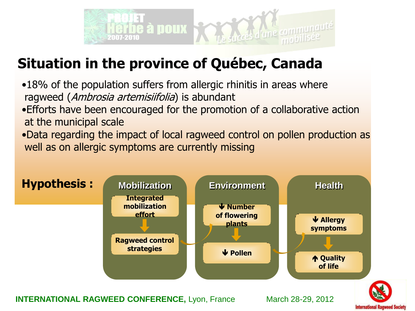

# **Situation in the province of Québec, Canada**

- •18% of the population suffers from allergic rhinitis in areas where ragweed (Ambrosia artemisiifolia) is abundant
- •Efforts have been encouraged for the promotion of a collaborative action at the municipal scale
- •Data regarding the impact of local ragweed control on pollen production as well as on allergic symptoms are currently missing

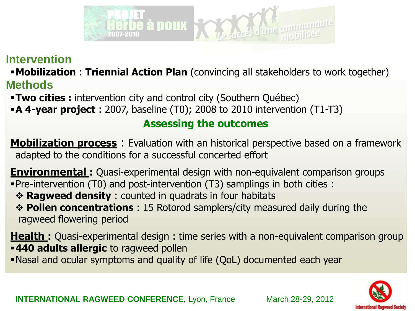

#### **Intervention**

**Mobilization** : **Triennial Action Plan** (convincing all stakeholders to work together) **Methods**

- **Two cities :** intervention city and control city (Southern Québec)
- **A 4-year project** : 2007, baseline (T0); 2008 to 2010 intervention (T1-T3)

#### **Assessing the outcomes**

**Mobilization process** : Evaluation with an historical perspective based on a framework adapted to the conditions for a successful concerted effort

**Environmental :** Quasi-experimental design with non-equivalent comparison groups Pre-intervention (T0) and post-intervention (T3) samplings in both cities :

- **Ragweed density** : counted in quadrats in four habitats
- **Pollen concentrations** : 15 Rotorod samplers/city measured daily during the ragweed flowering period

**Health :** Quasi-experimental design : time series with a non-equivalent comparison group **440 adults allergic** to ragweed pollen

Nasal and ocular symptoms and quality of life (QoL) documented each year



**INTERNATIONAL RAGWEED CONFERENCE, Lyon, France March 28-29, 2012**